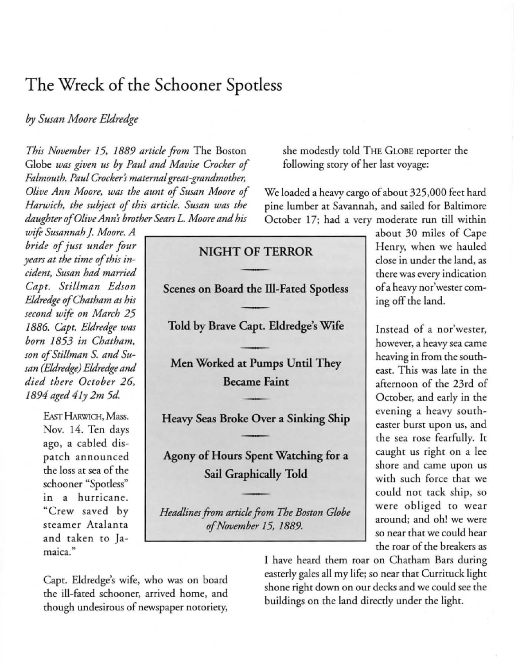## The Wreck of the Schooner Spotless

## *by Susan Moore Eldredge*

*This November* 15. 1889 *article from* The Boston Globe *was given us by Paul and Mavise Crocker of*  $Falmouth.$  Paul Crocker's maternal great-grandmother, *Olive Ann Moore, was the aunt of Susan Moore of Harwich. the subject of this article. Susan was the daughter of Olive Ann! brother Sears* L. *Moore and his* 

 $w$ ife Susannah J. Moore. A *bride of just under four years at the time of this in* $cident$ , Susan had married *Capt. Stillman Edson Eldredge of Chatham as his second wife on March 25 / 886. Capt. Eldredge was born* 1853 *in Chatham. son ofStil/man* S. *and Susan (Eldredge) Eldredge and died there October 26. /894 aged 4 /y 2m 5d.* 

> EAST HARWICH, Mass. Nov. 14. Ten days ago. a cabled dispatch announced the loss at sea of the schooner "Spotless" in a hurricane. "Crew saved by **steamer Atalanta**  and taken to Ja-<br>maica."

Capt. Eldredge's wife. who was on board the ill-fated schooner, arrived home, and though undesirous of newspaper notoriety.

she modestly told THE GLOBE reporter the following story of her last voyage:

We loaded a heavy cargo of about 325.000 feet hard pine lumber at Savannah. and sailed for Baltimore October 17; had a very moderate run till within

## NIGHT OF TERROR Scenes on Board the Ill-Fated Spotless Told by Brave Capt. Eldredge's Wife Men Worked at Pumps Until They **Became Faint** Heavy Seas Broke Over a Sinking Ship Agony of Hours Spent Watching for a Sail Graphically Told *Headlines from article from The Borton Globe*

*of November* 15. 1889.

about 30 miles of Cape Henry. when we hauled close in under the land. as **there was every indication of a heavy nor'wesrer com**ing off the land.

Instead of a nor'wester, **however, a heavy sea came**  heaving in from the southeast. This was late in the afternoon of the 23rd of October. and early in the evening a heavy south**easter burst upon us, and**  the sea rose fearfully. It caught us right on a lee **shore and came upon us**  with such force that we could not tack ship. so were obliged to wear **around; and oh! we were**  so near that we could hear the roar of the breakers as

I have heard them roar on Chatham Bars during easterly gales all my life; so near that Currituck light shone right down on our decks and we could see the buildings on the land directly under the light.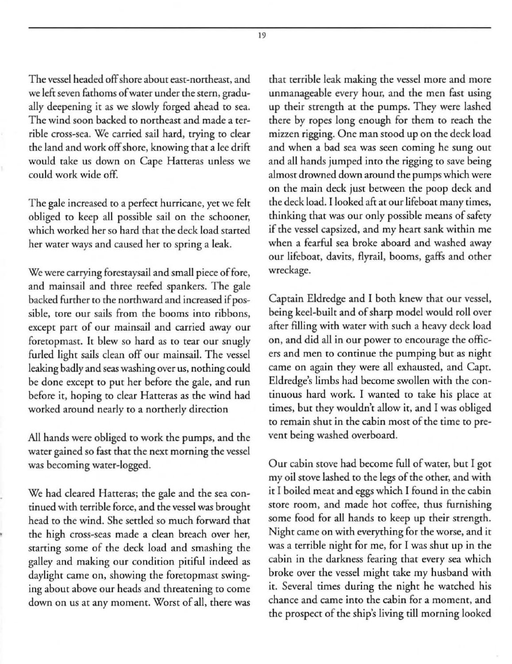The vessel headed off shore about east-northeast, and we left seven fathoms of water under the stern, gradually deepening it as we slowly forged ahead to sea. The wind soon backed to northeast and made a terrible cross-sea. We carried sail hard, trying to clear the land and work off shore, knowing that a lee drift would take us down on Cape Hatteras unless we could work wide off.

The gale increased to a perfect hurricane, yet we felt obliged to keep all possible sail on the schooner, which worked her so hard that the deck load started her water ways and caused her to spring a leak.

We were carrying forestaysail and small piece of fore, and mainsail and three reefed spankers. The gale backed further to the northward and increased if possible, tore our sails from the booms into ribbons, **except part of our mainsail and carried away our**  foretopmast. It blew so hard as to tear our snugly furled light sails clean off our mainsail. The vessel leaking badly and seas washing over us, nothing could be done except to put her before the gale, and run before it, hoping to clear Hatteras as the wind had worked around nearly to a northerly direction

All hands were obliged to work the pumps, and the water gained so fast that the next morning the vessel was becoming water-logged.

We had cleared Hatteras; the gale and the sea continued with terrible force, and the vessel was brought head to the wind. She settled so much forward that the high cross-seas made a clean breach over her, starting some of the deck load and smashing the galley and making our condition pitiful indeed as daylight came on, showing the foretopmast swinging about above our heads and threatening to come down on us at any moment. Worst of all, there was that terrible leak making the vessel more and more unmanageable every hour, and the men fast using up their strength at the pumps. They were lashed there by ropes long enough for them to reach the mizzen rigging. One man stood up on the deck load and when a bad sea was seen coming he sung out and all hands jumped into the rigging to save being almost drowned down around the pumps which were on the main deck just between the poop deck and the deck load. I looked aft at our lifeboat many times, thinking that was our only possible means of safety if the vessel capsized, and my heart sank within me when a fearful sea broke aboard and washed away our lifeboat, davits, Ayrail, booms, gaffs and other wreckage.

Captain Eldredge and I both knew that our vessel, being keel-built and of sharp model would roll over after filling with water with such a heavy deck load on, and did all in our power to encourage the officers and men to continue the pumping but as night came on again they were all exhausted, and Capt. Eldredge's limbs had become swollen with the continuous hard work. [ wanted to take his place at times, but they wouldn't allow it, and I was obliged **to remain shut in the cabin most of the time co** pre~ vent being washed overboard.

Our cabin stove had become full of water, but I got my oil stove lashed to the legs of the other, and with it I boiled meat and eggs which I found in the cabin **store room, and made hot coffee, thus furnishing**  some food for all hands to keep up their strength. Night came on with everything for the worse, and it was a terrible night for me, for I was shut up in the cabin in the darkness fearing that every sea which broke over the vessel might take my husband with it. Several times during the night he watched his chance and came into the cabin for a moment, and the prospect of the ship's living till morning looked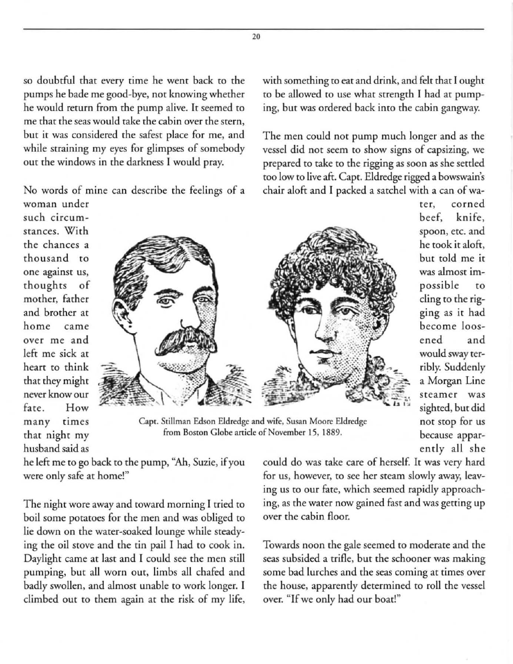so doubtful that every time he went back to the pumps he bade me good-bye, not knowing whether he would rerum from the pump alive. It seemed ro **me that the seas would take the cabin over the stern,**  but it was considered the safest place for me, and while straining my eyes for glimpses of somebody out the windows in the darkness I would pray.

No words of mine can describe the feelings of a

**woman under such circumstances. With**  the chances a thousand to **one against us,**  thoughts of mother, father and brother at **home came over me and**  left me sick at heart to think that they might **never know our**  fate. How **many times**  that night my husband said as



**Cape. Stillman Edson Eldredge and wife, Susan Moore Eldredge from Boston Globe article** of November **15. 1889.** 

**rer, corned**  beef, knife, spoon, etc. and he took it aloft, but told me it **was almost im**possible to cling to the rigging as it had become loosened and would sway terribly. Suddenly a Morgan Line **steamer** was sighted, but did not Stop for us because apparently all she

he left me to go back to the pump, "Ah, Suzie, if you **were only safe at home!"** 

The night wore away and toward morning I tried to boil some potatoes for the men and was obliged to lie down on the water-soaked lounge while steadying the oil stove and the tin pail I had to cook in. Daylight came at last and I could see the men still pumping, but all worn out, limbs *all* chafed and badly swollen, and almost unable to work longer. I climbed out to them again at the risk of my life, could do was take care of herself. It was very hard for us, however, to see her steam slowly away, leaving us to our fate, which seemed rapidly approaching, as the water now gained fast and was getting up **over the cabin floor.** 

Towards noon the gale seemed to moderate and the seas subsided a trifle, but the schooner was making **some bad lurches and the seas coming at times over**  the house, apparently determined to roll the vessel **over. "If we only had our boat!"** 

20

with something to eat and drink, and felt that I ought to be allowed to use whar strength I had ar pumping, but was ordered back into the cabin gangway.

The men could not pump much longer and as the vessel did not seem to show signs of capsizing, we prepared to take to the rigging as soon as she settled too low to live aft. Capt. Eldredge rigged a bowswain's chair aloft and I packed a satchel with a can of wa